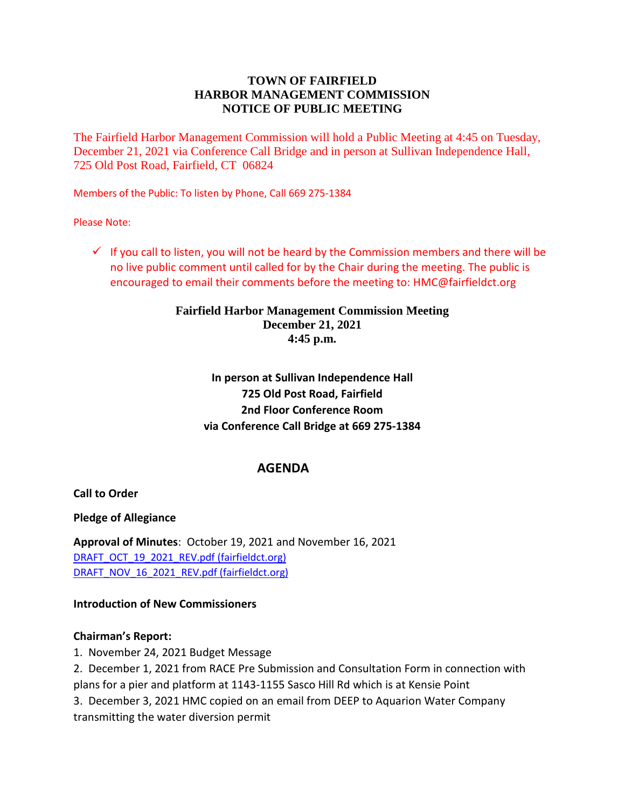# **TOWN OF FAIRFIELD HARBOR MANAGEMENT COMMISSION NOTICE OF PUBLIC MEETING**

The Fairfield Harbor Management Commission will hold a Public Meeting at 4:45 on Tuesday, December 21, 2021 via Conference Call Bridge and in person at Sullivan Independence Hall, 725 Old Post Road, Fairfield, CT 06824

Members of the Public: To listen by Phone, Call 669 275-1384

Please Note:

 $\checkmark$  If you call to listen, you will not be heard by the Commission members and there will be no live public comment until called for by the Chair during the meeting. The public is encouraged to email their comments before the meeting to: HMC@fairfieldct.org

## **Fairfield Harbor Management Commission Meeting December 21, 2021 4:45 p.m.**

# **In person at Sullivan Independence Hall 725 Old Post Road, Fairfield 2nd Floor Conference Room via Conference Call Bridge at 669 275-1384**

# **AGENDA**

**Call to Order**

**Pledge of Allegiance**

**Approval of Minutes**: October 19, 2021 and November 16, 2021 [DRAFT\\_OCT\\_19\\_2021\\_REV.pdf \(fairfieldct.org\)](https://www.fairfieldct.org/filestorage/10736/12067/17037/66861/94822/114227/DRAFT_OCT_19_2021_REV.pdf) [DRAFT\\_NOV\\_16\\_2021\\_REV.pdf \(fairfieldct.org\)](https://www.fairfieldct.org/filestorage/10736/12067/17037/66861/94822/114227/DRAFT_NOV_16_2021_REV.pdf)

## **Introduction of New Commissioners**

## **Chairman's Report:**

1. November 24, 2021 Budget Message

2. December 1, 2021 from RACE Pre Submission and Consultation Form in connection with plans for a pier and platform at 1143-1155 Sasco Hill Rd which is at Kensie Point

3. December 3, 2021 HMC copied on an email from DEEP to Aquarion Water Company transmitting the water diversion permit